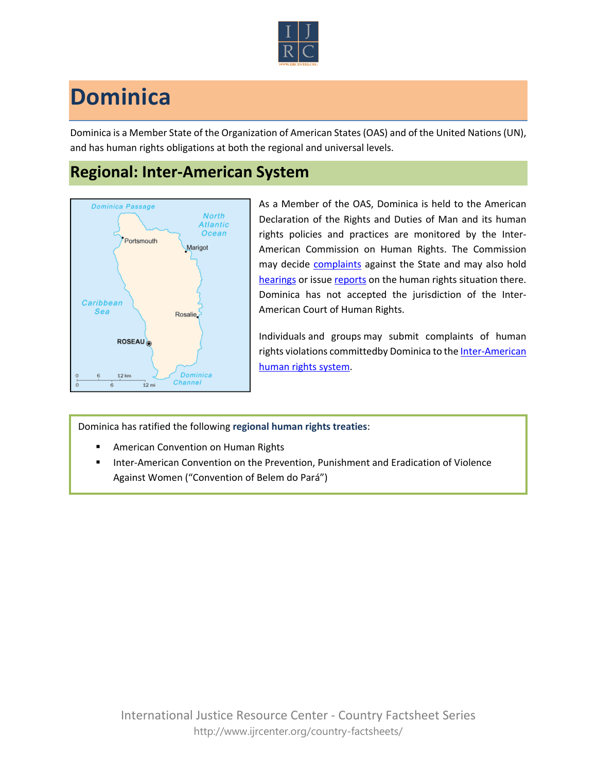

## **Dominica**

Dominica is a Member State of the Organization of American States (OAS) and of the United Nations (UN), and has human rights obligations at both the regional and universal levels.

## **Regional: Inter-American System**



As a Member of the OAS, Dominica is held to the American Declaration of the Rights and Duties of Man and its human rights policies and practices are monitored by the Inter-American Commission on Human Rights. The Commission may decide [complaints](http://www.oas.org/en/iachr/decisions/merits.asp) against the State and may also hold [hearings](http://www.oas.org/es/cidh/audiencias/advanced.aspx?lang=en) or issue [reports](http://www.oas.org/en/iachr/reports/country.asp) on the human rights situation there. Dominica has not accepted the jurisdiction of the Inter-American Court of Human Rights.

Individuals and groups may submit complaints of human rights violations committedby Dominica to the Inter-American [human rights system.](http://www.ijrcenter.org/regional/inter-american-system/)

Dominica has ratified the following **regional human rights treaties**:

- American Convention on Human Rights
- Inter-American Convention on the Prevention, Punishment and Eradication of Violence Against Women ("Convention of Belem do Pará")